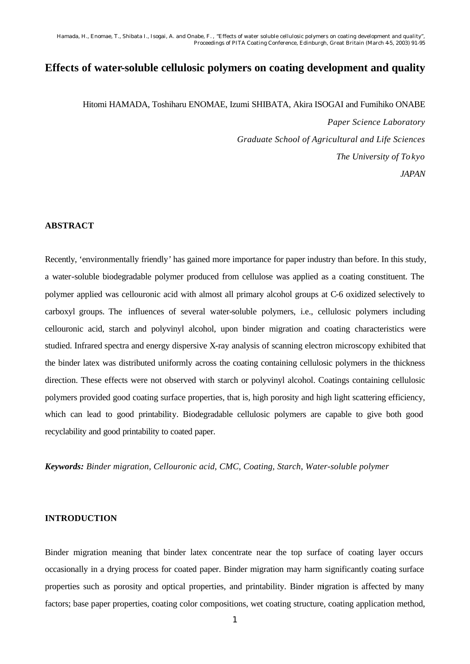# **Effects of water-soluble cellulosic polymers on coating development and quality**

Hitomi HAMADA, Toshiharu ENOMAE, Izumi SHIBATA, Akira ISOGAI and Fumihiko ONABE *Paper Science Laboratory Graduate School of Agricultural and Life Sciences The University of To kyo JAPAN*

#### **ABSTRACT**

Recently, 'environmentally friendly' has gained more importance for paper industry than before. In this study, a water-soluble biodegradable polymer produced from cellulose was applied as a coating constituent. The polymer applied was cellouronic acid with almost all primary alcohol groups at C-6 oxidized selectively to carboxyl groups. The influences of several water-soluble polymers, i.e., cellulosic polymers including cellouronic acid, starch and polyvinyl alcohol, upon binder migration and coating characteristics were studied. Infrared spectra and energy dispersive X-ray analysis of scanning electron microscopy exhibited that the binder latex was distributed uniformly across the coating containing cellulosic polymers in the thickness direction. These effects were not observed with starch or polyvinyl alcohol. Coatings containing cellulosic polymers provided good coating surface properties, that is, high porosity and high light scattering efficiency, which can lead to good printability. Biodegradable cellulosic polymers are capable to give both good recyclability and good printability to coated paper.

*Keywords: Binder migration, Cellouronic acid, CMC, Coating, Starch, Water-soluble polymer*

## **INTRODUCTION**

Binder migration meaning that binder latex concentrate near the top surface of coating layer occurs occasionally in a drying process for coated paper. Binder migration may harm significantly coating surface properties such as porosity and optical properties, and printability. Binder migration is affected by many factors; base paper properties, coating color compositions, wet coating structure, coating application method,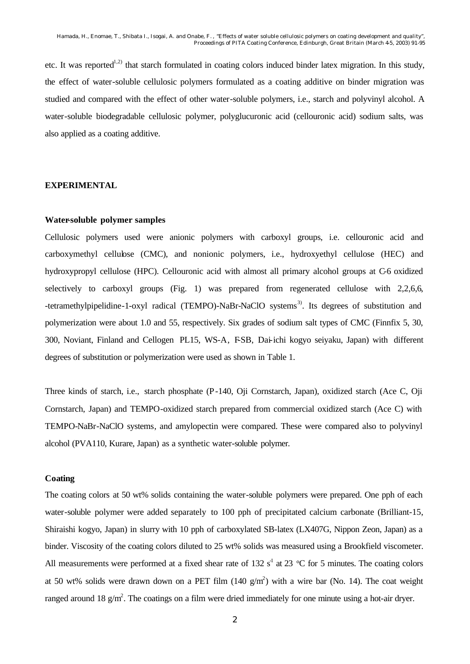etc. It was reported<sup>1,2)</sup> that starch formulated in coating colors induced binder latex migration. In this study, the effect of water-soluble cellulosic polymers formulated as a coating additive on binder migration was studied and compared with the effect of other water-soluble polymers, i.e., starch and polyvinyl alcohol. A water-soluble biodegradable cellulosic polymer, polyglucuronic acid (cellouronic acid) sodium salts, was also applied as a coating additive.

#### **EXPERIMENTAL**

#### **Water-soluble polymer samples**

Cellulosic polymers used were anionic polymers with carboxyl groups, i.e. cellouronic acid and carboxymethyl cellulose (CMC), and nonionic polymers, i.e., hydroxyethyl cellulose (HEC) and hydroxypropyl cellulose (HPC). Cellouronic acid with almost all primary alcohol groups at C-6 oxidized [selectively to carboxyl](www.celluloseether.com) groups (Fig. 1) was prepared from [regenerated cellulose](www.celluloseether.com) with 2,2,6,6, -tetramethylpipelidine-1-oxyl radical (TEMPO)-NaBr-NaClO systems<sup>3)</sup>. Its degrees of substitution and polymerization were about 1.0 and 55, respectively. Six grades of sodium salt types of CMC (Finnfix 5, 30, 300, Noviant, Finland and Cellogen PL15, WS-A, F-SB, Dai-ichi kogyo seiyaku, Japan) with different degrees of substitution or polymerization were used as shown in Table 1.

Three kinds of starch, i.e., starch phosphate (P-140, Oji Cornstarch, Japan), oxidized starch (Ace C, Oji Cornstarch, Japan) and TEMPO-oxidized starch prepared from commercial oxidized starch (Ace C) with TEMPO-NaBr-NaClO systems, and amylopectin were compared. These were compared also to polyvinyl alcohol (PVA110, Kurare, Japan) as a synthetic water-soluble polymer.

# **Coating**

The coating colors at 50 wt% solids containing the water-soluble polymers were prepared. One pph of each water-soluble polymer were added separately to 100 pph of precipitated calcium carbonate (Brilliant-15, Shiraishi kogyo, Japan) in slurry with 10 pph of carboxylated SB-latex (LX407G, Nippon Zeon, Japan) as a binder. Viscosity of the coating colors diluted to 25 wt% solids was measured using a Brookfield viscometer. All measurements were performed at a fixed shear rate of 132  $s<sup>1</sup>$  at 23 °C for 5 minutes. The coating colors at 50 wt% solids were drawn down on a PET film  $(140 \text{ g/m}^2)$  with a wire bar (No. 14). The coat weight ranged around 18  $g/m^2$ . The coatings on a film were dried immediately for one minute using a hot-air dryer.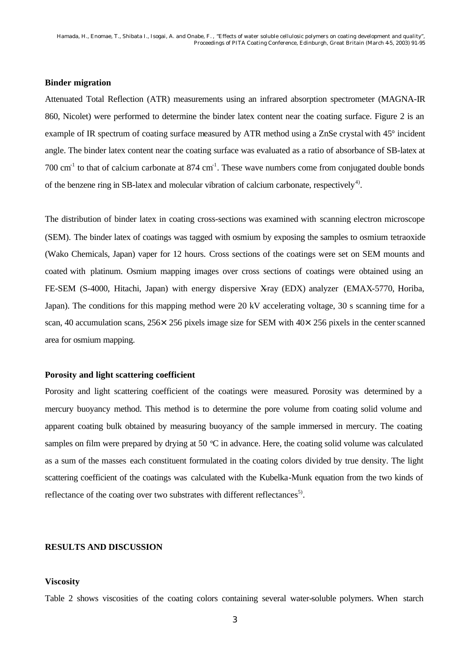#### **Binder migration**

Attenuated Total Reflection (ATR) measurements using an infrared absorption spectrometer (MAGNA-IR 860, Nicolet) were performed to determine the binder latex content near the coating surface. Figure 2 is an example of IR spectrum of coating surface measured by ATR method using a ZnSe crystal with 45° incident angle. The binder latex content near the coating surface was evaluated as a ratio of absorbance of SB-latex at 700  $\text{cm}^{-1}$  to that of calcium carbonate at 874  $\text{cm}^{-1}$ . These wave numbers come from conjugated double bonds of the benzene ring in SB-latex and molecular vibration of calcium carbonate, respectively<sup>4)</sup>.

The distribution of binder latex in coating cross-sections was examined with scanning electron microscope (SEM). The binder latex of coatings was tagged with osmium by exposing the samples to osmium tetraoxide (Wako Chemicals, Japan) vaper for 12 hours. Cross sections of the coatings were set on SEM mounts and coated with platinum. Osmium mapping images over cross sections of coatings were obtained using an FE-SEM (S-4000, Hitachi, Japan) with energy dispersive X-ray (EDX) analyzer (EMAX-5770, Horiba, Japan). The conditions for this mapping method were 20 kV accelerating voltage, 30 s scanning time for a scan, 40 accumulation scans, 256×256 pixels image size for SEM with 40×256 pixels in the center scanned area for osmium mapping.

# **Porosity and light scattering coefficient**

Porosity and light scattering coefficient of the coatings were measured. Porosity was determined by a mercury buoyancy method. This method is to determine the pore volume from coating solid volume and apparent coating bulk obtained by measuring buoyancy of the sample immersed in mercury. The coating samples on film were prepared by drying at 50 °C in advance. Here, the coating solid volume was calculated as a sum of the masses each constituent formulated in the coating colors divided by true density. The light scattering coefficient of the coatings was calculated with the Kubelka-Munk equation from the two kinds of reflectance of the coating over two substrates with different reflectances<sup>5)</sup>.

# **RESULTS AND DISCUSSION**

#### **Viscosity**

Table 2 shows viscosities of the coating colors containing several water-soluble polymers. When starch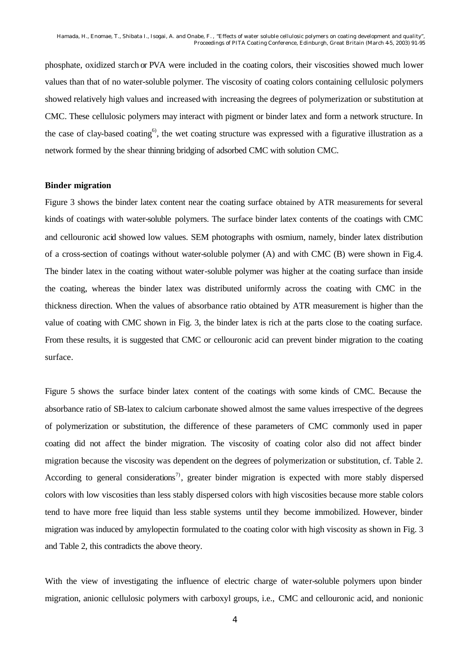phosphate, oxidized starch or PVA were included in the coating colors, their viscosities showed much lower values than that of no water-soluble polymer. The viscosity of coating colors containing cellulosic polymers showed relatively high values and increased with increasing the degrees of polymerization or substitution at CMC. These cellulosic polymers may interact with pigment or binder latex and form a network structure. In the case of clay-based coating<sup>6</sup>, the wet coating structure was expressed with a figurative illustration as a network formed by the shear thinning bridging of adsorbed CMC with solution CMC.

### **Binder migration**

Figure 3 shows the binder latex content near the coating surface obtained by ATR measurements for several kinds of coatings with water-soluble polymers. The surface binder latex contents of the coatings with CMC and cellouronic acid showed low values. SEM photographs with osmium, namely, binder latex distribution of a cross-section of coatings without water-soluble polymer (A) and with CMC (B) were shown in Fig.4. The binder latex in the coating without water-soluble polymer was higher at the coating surface than inside the coating, whereas the binder latex was distributed uniformly across the coating with CMC in the thickness direction. When the values of absorbance ratio obtained by ATR measurement is higher than the value of coating with CMC shown in Fig. 3, the binder latex is rich at the parts close to the coating surface. From these results, it is suggested that CMC or cellouronic acid can prevent binder migration to the coating surface.

Figure 5 shows the surface binder latex content of the coatings with some kinds of CMC. Because the absorbance ratio of SB-latex to calcium carbonate showed almost the same values irrespective of the degrees of polymerization or substitution, the difference of these parameters of CMC commonly used in paper coating did not affect the binder migration. The viscosity of coating color also did not affect binder migration because the viscosity was dependent on the degrees of polymerization or substitution, cf. Table 2. According to general considerations<sup>7)</sup>, greater binder migration is expected with more stably dispersed colors with low viscosities than less stably dispersed colors with high viscosities because more stable colors tend to have more free liquid than less stable systems until they become immobilized. However, binder migration was induced by amylopectin formulated to the coating color with high viscosity as shown in Fig. 3 and Table 2, this contradicts the above theory.

With the view of investigating the influence of electric charge of water-soluble polymers upon binder migration, anionic cellulosic polymers with carboxyl groups, i.e., CMC and cellouronic acid, and nonionic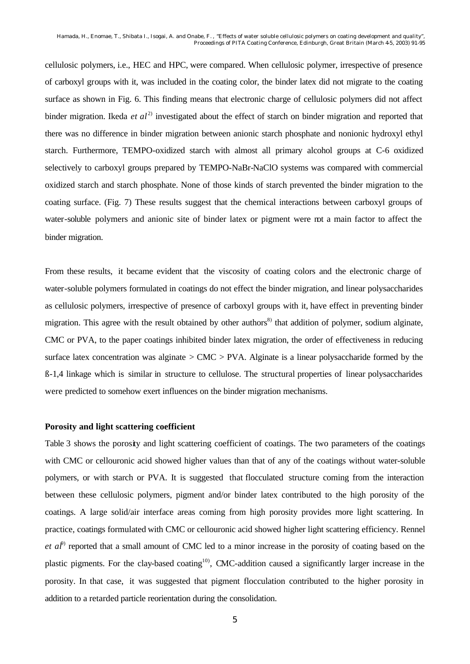cellulosic polymers, i.e., HEC and HPC, were compared. When cellulosic polymer, irrespective of presence of carboxyl groups with it, was included in the coating color, the binder latex did not migrate to the coating surface as shown in Fig. 6. This finding means that electronic charge of cellulosic polymers did not affect binder migration. Ikeda *et al*<sup>2)</sup> investigated about the effect of starch on binder migration and reported that there was no difference in binder migration between anionic starch phosphate and nonionic hydroxyl ethyl starch. Furthermore, TEMPO-oxidized starch with almost all primary alcohol groups at C-6 oxidized selectively to carboxyl groups prepared by TEMPO-NaBr-NaClO systems was compared with commercial oxidized starch and starch phosphate. None of those kinds of starch prevented the binder migration to the coating surface. (Fig. 7) These results suggest that the chemical interactions between carboxyl groups of water-soluble polymers and anionic site of binder latex or pigment were not a main factor to affect the binder migration.

From these results, it became evident that the viscosity of coating colors and the electronic charge of water-soluble polymers formulated in coatings do not effect the binder migration, and linear polysaccharides as cellulosic polymers, irrespective of presence of carboxyl groups with it, have effect in preventing binder migration. This agree with the result obtained by other authors<sup>8)</sup> that addition of polymer, sodium alginate, CMC or PVA, to the paper coatings inhibited binder latex migration, the order of effectiveness in reducing surface latex concentration was alginate  $> CMC > PVA$ . Alginate is a linear polysaccharide formed by the ß-1,4 linkage which is similar in structure to cellulose. The structural properties of linear polysaccharides were predicted to somehow exert influences on the binder migration mechanisms.

#### **Porosity and light scattering coefficient**

Table 3 shows the porosity and light scattering coefficient of coatings. The two parameters of the coatings with CMC or cellouronic acid showed higher values than that of any of the coatings without water-soluble polymers, or with starch or PVA. It is suggested that flocculated structure coming from the interaction between these cellulosic polymers, pigment and/or binder latex contributed to the high porosity of the coatings. A large solid/air interface areas coming from high porosity provides more light scattering. In practice, coatings formulated with CMC or cellouronic acid showed higher light scattering efficiency. Rennel *et al*<sup>9)</sup> reported that a small amount of CMC led to a minor increase in the porosity of coating based on the plastic pigments. For the clay-based coating<sup>10)</sup>, CMC-addition caused a significantly larger increase in the porosity. In that case, it was suggested that pigment flocculation contributed to the higher porosity in addition to a retarded particle reorientation during the consolidation.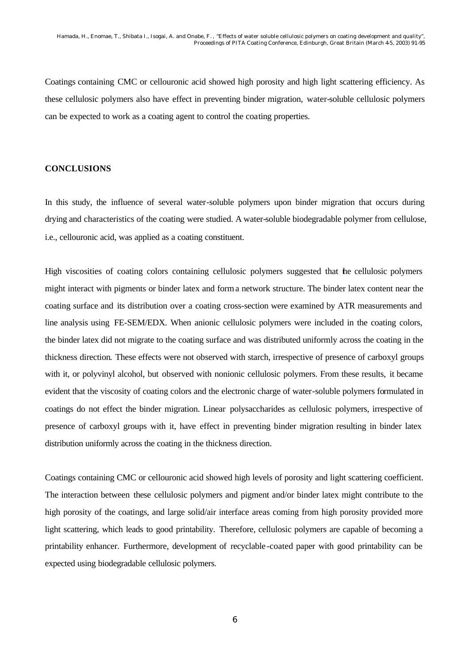Coatings containing CMC or cellouronic acid showed high porosity and high light scattering efficiency. As these cellulosic polymers also have effect in preventing binder migration, water-soluble cellulosic polymers can be expected to work as a coating agent to control the coating properties.

### **CONCLUSIONS**

In this study, the influence of several water-soluble polymers upon binder migration that occurs during drying and characteristics of the coating were studied. A water-soluble biodegradable polymer from cellulose, i.e., cellouronic acid, was applied as a coating constituent.

High viscosities of coating colors containing cellulosic polymers suggested that the cellulosic polymers might interact with pigments or binder latex and form a network structure. The binder latex content near the coating surface and its distribution over a coating cross-section were examined by ATR measurements and line analysis using FE-SEM/EDX. When anionic cellulosic polymers were included in the coating colors, the binder latex did not migrate to the coating surface and was distributed uniformly across the coating in the thickness direction. These effects were not observed with starch, irrespective of presence of carboxyl groups with it, or polyvinyl alcohol, but observed with nonionic cellulosic polymers. From these results, it became evident that the viscosity of coating colors and the electronic charge of water-soluble polymers formulated in coatings do not effect the binder migration. Linear polysaccharides as cellulosic polymers, irrespective of presence of carboxyl groups with it, have effect in preventing binder migration resulting in binder latex distribution uniformly across the coating in the thickness direction.

Coatings containing CMC or cellouronic acid showed high levels of porosity and light scattering coefficient. The interaction between these cellulosic polymers and pigment and/or binder latex might contribute to the high porosity of the coatings, and large solid/air interface areas coming from high porosity provided more light scattering, which leads to good printability. Therefore, cellulosic polymers are capable of becoming a printability enhancer. Furthermore, development of recyclable -coated paper with good printability can be expected using biodegradable cellulosic polymers.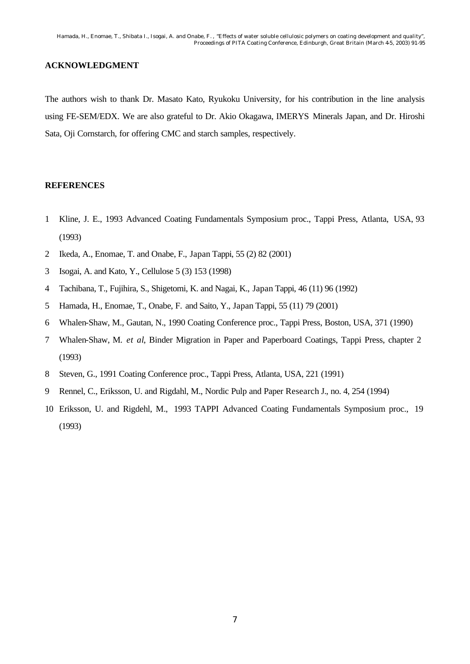# **ACKNOWLEDGMENT**

The authors wish to thank Dr. Masato Kato, Ryukoku University, for his contribution in the line analysis using FE-SEM/EDX. We are also grateful to Dr. Akio Okagawa, IMERYS Minerals Japan, and Dr. Hiroshi Sata, Oji Cornstarch, for offering CMC and starch samples, respectively.

# **REFERENCES**

- 1 Kline, J. E., 1993 Advanced Coating Fundamentals Symposium proc., Tappi Press, Atlanta, USA, 93 (1993)
- 2 Ikeda, A., Enomae, T. and Onabe, F., Japan Tappi, 55 (2) 82 (2001)
- 3 Isogai, A. and Kato, Y., Cellulose 5 (3) 153 (1998)
- 4 Tachibana, T., Fujihira, S., Shigetomi, K. and Nagai, K., Japan Tappi, 46 (11) 96 (1992)
- 5 Hamada, H., Enomae, T., Onabe, F. and Saito, Y., Japan Tappi, 55 (11) 79 (2001)
- 6 Whalen-Shaw, M., Gautan, N., 1990 Coating Conference proc., Tappi Press, Boston, USA, 371 (1990)
- 7 Whalen-Shaw, M. *et al*, Binder Migration in Paper and Paperboard Coatings, Tappi Press, chapter 2 (1993)
- 8 Steven, G., 1991 Coating Conference proc., Tappi Press, Atlanta, USA, 221 (1991)
- 9 Rennel, C., Eriksson, U. and Rigdahl, M., Nordic Pulp and Paper Research J., no. 4, 254 (1994)
- 10 Eriksson, U. and Rigdehl, M., 1993 TAPPI Advanced Coating Fundamentals Symposium proc., 19 (1993)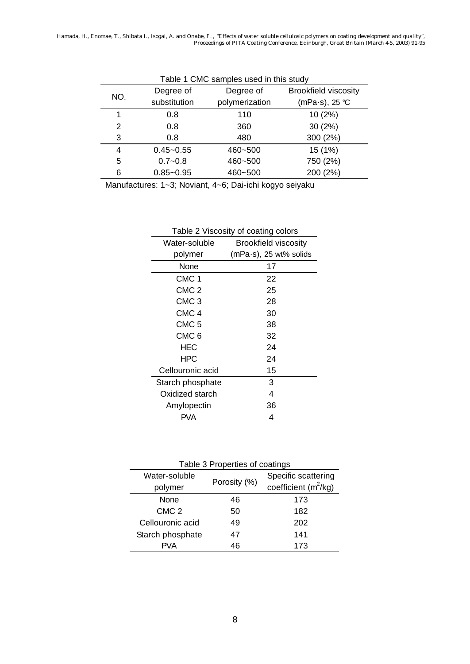| Table 1 CMC samples used in this study |               |                |                             |  |
|----------------------------------------|---------------|----------------|-----------------------------|--|
| NO.                                    | Degree of     | Degree of      | <b>Brookfield viscosity</b> |  |
|                                        | substitution  | polymerization | (mPa·s), 25 ℃               |  |
| 1                                      | 0.8           | 110            | 10(2%)                      |  |
| 2                                      | 0.8           | 360            | 30(2%)                      |  |
| 3                                      | 0.8           | 480            | 300 (2%)                    |  |
| 4                                      | $0.45 - 0.55$ | 460~500        | 15 (1%)                     |  |
| 5                                      | $0.7 - 0.8$   | 460~500        | 750 (2%)                    |  |
| 6                                      | $0.85 - 0.95$ | 460~500        | 200 (2%)                    |  |

Manufactures: 1~3; Noviant, 4~6; Dai-ichi kogyo seiyaku

| rable z viscosity or coating colors |                             |  |  |  |
|-------------------------------------|-----------------------------|--|--|--|
| Water-soluble                       | <b>Brookfield viscosity</b> |  |  |  |
| polymer                             | $(mPa·s)$ , 25 wt% solids   |  |  |  |
| None                                | 17                          |  |  |  |
| CMC <sub>1</sub>                    | 22                          |  |  |  |
| CMC <sub>2</sub>                    | 25                          |  |  |  |
| CMC <sub>3</sub>                    | 28                          |  |  |  |
| CMC <sub>4</sub>                    | 30                          |  |  |  |
| CMC <sub>5</sub>                    | 38                          |  |  |  |
| CMC <sub>6</sub>                    | 32                          |  |  |  |
| HEC                                 | 24                          |  |  |  |
| <b>HPC</b>                          | 24                          |  |  |  |
| Cellouronic acid                    | 15                          |  |  |  |
| Starch phosphate                    | 3                           |  |  |  |
| Oxidized starch                     | 4                           |  |  |  |
| Amylopectin                         | 36                          |  |  |  |
| PVA                                 | 4                           |  |  |  |

# Table 2 Viscosity of coating colors

| Table 3 Properties of coatings |              |                                                         |  |  |
|--------------------------------|--------------|---------------------------------------------------------|--|--|
| Water-soluble<br>polymer       | Porosity (%) | Specific scattering<br>coefficient (m <sup>2</sup> /kg) |  |  |
| None                           | 46           | 173                                                     |  |  |
| CMC <sub>2</sub>               | 50           | 182                                                     |  |  |
| Cellouronic acid               | 49           | 202                                                     |  |  |
| Starch phosphate               | 47           | 141                                                     |  |  |
| P\/A                           | 46           | 173                                                     |  |  |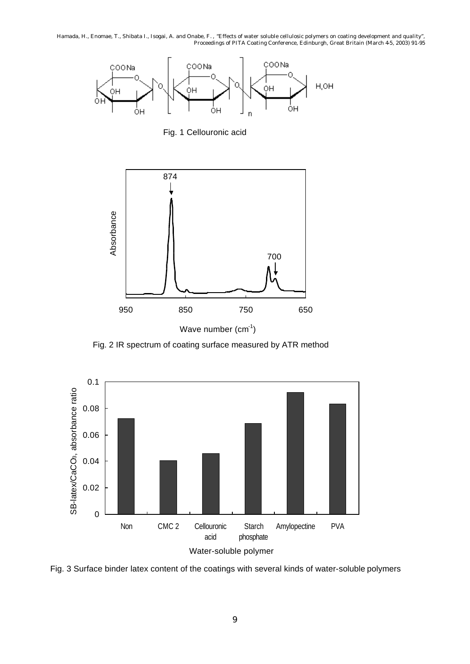

Fig. 1 Cellouronic acid



Fig. 2 IR spectrum of coating surface measured by ATR method



Fig. 3 Surface binder latex content of the coatings with several kinds of water-soluble polymers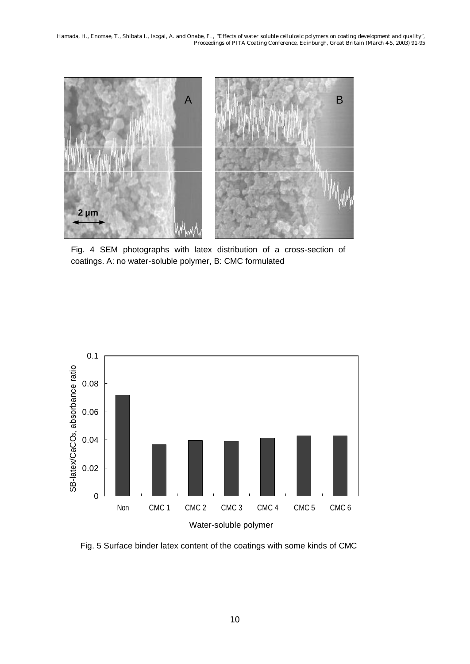

Fig. 4 SEM photographs with latex distribution of a cross-section of coatings. A: no water-soluble polymer, B: CMC formulated



Fig. 5 Surface binder latex content of the coatings with some kinds of CMC